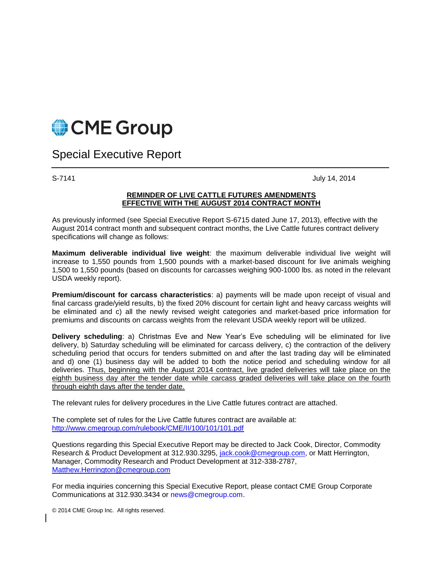

Special Executive Report

S-7141 July 14, 2014

## **REMINDER OF LIVE CATTLE FUTURES AMENDMENTS EFFECTIVE WITH THE AUGUST 2014 CONTRACT MONTH**

As previously informed (see Special Executive Report S-6715 dated June 17, 2013), effective with the August 2014 contract month and subsequent contract months, the Live Cattle futures contract delivery specifications will change as follows:

**Maximum deliverable individual live weight**: the maximum deliverable individual live weight will increase to 1,550 pounds from 1,500 pounds with a market-based discount for live animals weighing 1,500 to 1,550 pounds (based on discounts for carcasses weighing 900-1000 lbs. as noted in the relevant USDA weekly report).

**Premium/discount for carcass characteristics**: a) payments will be made upon receipt of visual and final carcass grade/yield results, b) the fixed 20% discount for certain light and heavy carcass weights will be eliminated and c) all the newly revised weight categories and market-based price information for premiums and discounts on carcass weights from the relevant USDA weekly report will be utilized.

**Delivery scheduling**: a) Christmas Eve and New Year's Eve scheduling will be eliminated for live delivery, b) Saturday scheduling will be eliminated for carcass delivery, c) the contraction of the delivery scheduling period that occurs for tenders submitted on and after the last trading day will be eliminated and d) one (1) business day will be added to both the notice period and scheduling window for all deliveries. Thus, beginning with the August 2014 contract, live graded deliveries will take place on the eighth business day after the tender date while carcass graded deliveries will take place on the fourth through eighth days after the tender date.

The relevant rules for delivery procedures in the Live Cattle futures contract are attached.

The complete set of rules for the Live Cattle futures contract are available at: <http://www.cmegroup.com/rulebook/CME/II/100/101/101.pdf>

Questions regarding this Special Executive Report may be directed to Jack Cook, Director, Commodity Research & Product Development at 312.930.3295, [jack.cook@cmegroup.com,](mailto:jack.cook@cmegroup.com) or Matt Herrington, Manager, Commodity Research and Product Development at 312-338-2787, [Matthew.Herrington@cmegroup.com](mailto:Matthew.Herrington@cmegroup.com)

For media inquiries concerning this Special Executive Report, please contact CME Group Corporate Communications at 312.930.3434 or news@cmegroup.com.

© 2014 CME Group Inc. All rights reserved.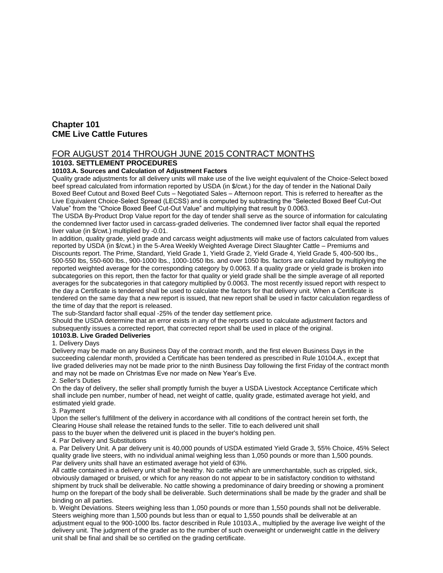# **Chapter 101 CME Live Cattle Futures**

## FOR AUGUST 2014 THROUGH JUNE 2015 CONTRACT MONTHS

## **10103. SETTLEMENT PROCEDURES**

## **10103.A. Sources and Calculation of Adjustment Factors**

Quality grade adjustments for all delivery units will make use of the live weight equivalent of the Choice-Select boxed beef spread calculated from information reported by USDA (in \$/cwt.) for the day of tender in the National Daily Boxed Beef Cutout and Boxed Beef Cuts – Negotiated Sales – Afternoon report. This is referred to hereafter as the Live Equivalent Choice-Select Spread (LECSS) and is computed by subtracting the "Selected Boxed Beef Cut-Out Value" from the "Choice Boxed Beef Cut-Out Value" and multiplying that result by 0.0063.

The USDA By-Product Drop Value report for the day of tender shall serve as the source of information for calculating the condemned liver factor used in carcass-graded deliveries. The condemned liver factor shall equal the reported liver value (in \$/cwt.) multiplied by -0.01.

In addition, quality grade, yield grade and carcass weight adjustments will make use of factors calculated from values reported by USDA (in \$/cwt.) in the 5-Area Weekly Weighted Average Direct Slaughter Cattle – Premiums and Discounts report. The Prime, Standard, Yield Grade 1, Yield Grade 2, Yield Grade 4, Yield Grade 5, 400-500 lbs., 500-550 lbs, 550-600 lbs., 900-1000 lbs., 1000-1050 lbs. and over 1050 lbs. factors are calculated by multiplying the reported weighted average for the corresponding category by 0.0063. If a quality grade or yield grade is broken into subcategories on this report, then the factor for that quality or yield grade shall be the simple average of all reported averages for the subcategories in that category multiplied by 0.0063. The most recently issued report with respect to the day a Certificate is tendered shall be used to calculate the factors for that delivery unit. When a Certificate is tendered on the same day that a new report is issued, that new report shall be used in factor calculation regardless of the time of day that the report is released.

The sub-Standard factor shall equal -25% of the tender day settlement price.

Should the USDA determine that an error exists in any of the reports used to calculate adjustment factors and subsequently issues a corrected report, that corrected report shall be used in place of the original.

## **10103.B. Live Graded Deliveries**

## 1. Delivery Days

Delivery may be made on any Business Day of the contract month, and the first eleven Business Days in the succeeding calendar month, provided a Certificate has been tendered as prescribed in Rule 10104.A., except that live graded deliveries may not be made prior to the ninth Business Day following the first Friday of the contract month and may not be made on Christmas Eve nor made on New Year's Eve.

## 2. Seller's Duties

On the day of delivery, the seller shall promptly furnish the buyer a USDA Livestock Acceptance Certificate which shall include pen number, number of head, net weight of cattle, quality grade, estimated average hot yield, and estimated yield grade.

## 3. Payment

Upon the seller's fulfillment of the delivery in accordance with all conditions of the contract herein set forth, the Clearing House shall release the retained funds to the seller. Title to each delivered unit shall

pass to the buyer when the delivered unit is placed in the buyer's holding pen.

## 4. Par Delivery and Substitutions

a. Par Delivery Unit. A par delivery unit is 40,000 pounds of USDA estimated Yield Grade 3, 55% Choice, 45% Select quality grade live steers, with no individual animal weighing less than 1,050 pounds or more than 1,500 pounds. Par delivery units shall have an estimated average hot yield of 63%.

All cattle contained in a delivery unit shall be healthy. No cattle which are unmerchantable, such as crippled, sick, obviously damaged or bruised, or which for any reason do not appear to be in satisfactory condition to withstand shipment by truck shall be deliverable. No cattle showing a predominance of dairy breeding or showing a prominent hump on the forepart of the body shall be deliverable. Such determinations shall be made by the grader and shall be binding on all parties.

b. Weight Deviations. Steers weighing less than 1,050 pounds or more than 1,550 pounds shall not be deliverable. Steers weighing more than 1,500 pounds but less than or equal to 1,550 pounds shall be deliverable at an adjustment equal to the 900-1000 lbs. factor described in Rule 10103.A., multiplied by the average live weight of the delivery unit. The judgment of the grader as to the number of such overweight or underweight cattle in the delivery unit shall be final and shall be so certified on the grading certificate.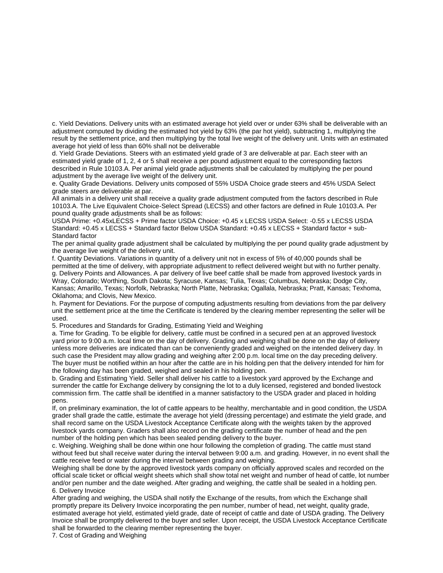c. Yield Deviations. Delivery units with an estimated average hot yield over or under 63% shall be deliverable with an adjustment computed by dividing the estimated hot yield by 63% (the par hot yield), subtracting 1, multiplying the result by the settlement price, and then multiplying by the total live weight of the delivery unit. Units with an estimated average hot yield of less than 60% shall not be deliverable

d. Yield Grade Deviations. Steers with an estimated yield grade of 3 are deliverable at par. Each steer with an estimated yield grade of 1, 2, 4 or 5 shall receive a per pound adjustment equal to the corresponding factors described in Rule 10103.A. Per animal yield grade adjustments shall be calculated by multiplying the per pound adjustment by the average live weight of the delivery unit.

e. Quality Grade Deviations. Delivery units composed of 55% USDA Choice grade steers and 45% USDA Select grade steers are deliverable at par.

All animals in a delivery unit shall receive a quality grade adjustment computed from the factors described in Rule 10103.A. The Live Equivalent Choice-Select Spread (LECSS) and other factors are defined in Rule 10103.A. Per pound quality grade adjustments shall be as follows:

USDA Prime: +0.45xLECSS + Prime factor USDA Choice: +0.45 x LECSS USDA Select: -0.55 x LECSS USDA Standard: +0.45 x LECSS + Standard factor Below USDA Standard: +0.45 x LECSS + Standard factor + sub-Standard factor

The per animal quality grade adjustment shall be calculated by multiplying the per pound quality grade adjustment by the average live weight of the delivery unit.

f. Quantity Deviations. Variations in quantity of a delivery unit not in excess of 5% of 40,000 pounds shall be permitted at the time of delivery, with appropriate adjustment to reflect delivered weight but with no further penalty. g. Delivery Points and Allowances. A par delivery of live beef cattle shall be made from approved livestock yards in Wray, Colorado; Worthing, South Dakota; Syracuse, Kansas; Tulia, Texas; Columbus, Nebraska; Dodge City, Kansas; Amarillo, Texas; Norfolk, Nebraska; North Platte, Nebraska; Ogallala, Nebraska; Pratt, Kansas; Texhoma, Oklahoma; and Clovis, New Mexico.

h. Payment for Deviations. For the purpose of computing adjustments resulting from deviations from the par delivery unit the settlement price at the time the Certificate is tendered by the clearing member representing the seller will be used.

5. Procedures and Standards for Grading, Estimating Yield and Weighing

a. Time for Grading. To be eligible for delivery, cattle must be confined in a secured pen at an approved livestock yard prior to 9:00 a.m. local time on the day of delivery. Grading and weighing shall be done on the day of delivery unless more deliveries are indicated than can be conveniently graded and weighed on the intended delivery day. In such case the President may allow grading and weighing after 2:00 p.m. local time on the day preceding delivery. The buyer must be notified within an hour after the cattle are in his holding pen that the delivery intended for him for the following day has been graded, weighed and sealed in his holding pen.

b. Grading and Estimating Yield. Seller shall deliver his cattle to a livestock yard approved by the Exchange and surrender the cattle for Exchange delivery by consigning the lot to a duly licensed, registered and bonded livestock commission firm. The cattle shall be identified in a manner satisfactory to the USDA grader and placed in holding pens.

If, on preliminary examination, the lot of cattle appears to be healthy, merchantable and in good condition, the USDA grader shall grade the cattle, estimate the average hot yield (dressing percentage) and estimate the yield grade, and shall record same on the USDA Livestock Acceptance Certificate along with the weights taken by the approved livestock yards company. Graders shall also record on the grading certificate the number of head and the pen number of the holding pen which has been sealed pending delivery to the buyer.

c. Weighing. Weighing shall be done within one hour following the completion of grading. The cattle must stand without feed but shall receive water during the interval between 9:00 a.m. and grading. However, in no event shall the cattle receive feed or water during the interval between grading and weighing.

Weighing shall be done by the approved livestock vards company on officially approved scales and recorded on the official scale ticket or official weight sheets which shall show total net weight and number of head of cattle, lot number and/or pen number and the date weighed. After grading and weighing, the cattle shall be sealed in a holding pen. 6. Delivery Invoice

After grading and weighing, the USDA shall notify the Exchange of the results, from which the Exchange shall promptly prepare its Delivery Invoice incorporating the pen number, number of head, net weight, quality grade, estimated average hot yield, estimated yield grade, date of receipt of cattle and date of USDA grading. The Delivery Invoice shall be promptly delivered to the buyer and seller. Upon receipt, the USDA Livestock Acceptance Certificate shall be forwarded to the clearing member representing the buyer.

7. Cost of Grading and Weighing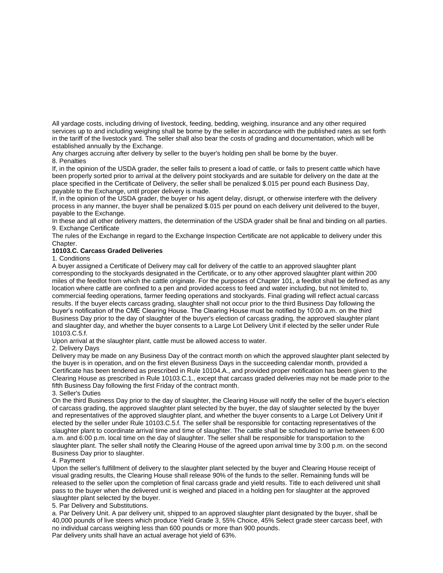All yardage costs, including driving of livestock, feeding, bedding, weighing, insurance and any other required services up to and including weighing shall be borne by the seller in accordance with the published rates as set forth in the tariff of the livestock yard. The seller shall also bear the costs of grading and documentation, which will be established annually by the Exchange.

Any charges accruing after delivery by seller to the buyer's holding pen shall be borne by the buyer. 8. Penalties

If, in the opinion of the USDA grader, the seller fails to present a load of cattle, or fails to present cattle which have been properly sorted prior to arrival at the delivery point stockyards and are suitable for delivery on the date at the place specified in the Certificate of Delivery, the seller shall be penalized \$.015 per pound each Business Day, payable to the Exchange, until proper delivery is made.

If, in the opinion of the USDA grader, the buyer or his agent delay, disrupt, or otherwise interfere with the delivery process in any manner, the buyer shall be penalized \$.015 per pound on each delivery unit delivered to the buyer, payable to the Exchange.

In these and all other delivery matters, the determination of the USDA grader shall be final and binding on all parties. 9. Exchange Certificate

The rules of the Exchange in regard to the Exchange Inspection Certificate are not applicable to delivery under this Chapter.

## **10103.C. Carcass Graded Deliveries**

1. Conditions

A buyer assigned a Certificate of Delivery may call for delivery of the cattle to an approved slaughter plant corresponding to the stockyards designated in the Certificate, or to any other approved slaughter plant within 200 miles of the feedlot from which the cattle originate. For the purposes of Chapter 101, a feedlot shall be defined as any location where cattle are confined to a pen and provided access to feed and water including, but not limited to, commercial feeding operations, farmer feeding operations and stockyards. Final grading will reflect actual carcass results. If the buyer elects carcass grading, slaughter shall not occur prior to the third Business Day following the buyer's notification of the CME Clearing House. The Clearing House must be notified by 10:00 a.m. on the third Business Day prior to the day of slaughter of the buyer's election of carcass grading, the approved slaughter plant and slaughter day, and whether the buyer consents to a Large Lot Delivery Unit if elected by the seller under Rule 10103.C.5.f.

Upon arrival at the slaughter plant, cattle must be allowed access to water.

#### 2. Delivery Days

Delivery may be made on any Business Day of the contract month on which the approved slaughter plant selected by the buyer is in operation, and on the first eleven Business Days in the succeeding calendar month, provided a Certificate has been tendered as prescribed in Rule 10104.A., and provided proper notification has been given to the Clearing House as prescribed in Rule 10103.C.1., except that carcass graded deliveries may not be made prior to the fifth Business Day following the first Friday of the contract month.

3. Seller's Duties

On the third Business Day prior to the day of slaughter, the Clearing House will notify the seller of the buyer's election of carcass grading, the approved slaughter plant selected by the buyer, the day of slaughter selected by the buyer and representatives of the approved slaughter plant, and whether the buyer consents to a Large Lot Delivery Unit if elected by the seller under Rule 10103.C.5.f. The seller shall be responsible for contacting representatives of the slaughter plant to coordinate arrival time and time of slaughter. The cattle shall be scheduled to arrive between 6:00 a.m. and 6:00 p.m. local time on the day of slaughter. The seller shall be responsible for transportation to the slaughter plant. The seller shall notify the Clearing House of the agreed upon arrival time by 3:00 p.m. on the second Business Day prior to slaughter.

#### 4. Payment

Upon the seller's fulfillment of delivery to the slaughter plant selected by the buyer and Clearing House receipt of visual grading results, the Clearing House shall release 90% of the funds to the seller. Remaining funds will be released to the seller upon the completion of final carcass grade and yield results. Title to each delivered unit shall pass to the buyer when the delivered unit is weighed and placed in a holding pen for slaughter at the approved slaughter plant selected by the buyer.

5. Par Delivery and Substitutions.

a. Par Delivery Unit. A par delivery unit, shipped to an approved slaughter plant designated by the buyer, shall be 40,000 pounds of live steers which produce Yield Grade 3, 55% Choice, 45% Select grade steer carcass beef, with no individual carcass weighing less than 600 pounds or more than 900 pounds.

Par delivery units shall have an actual average hot yield of 63%.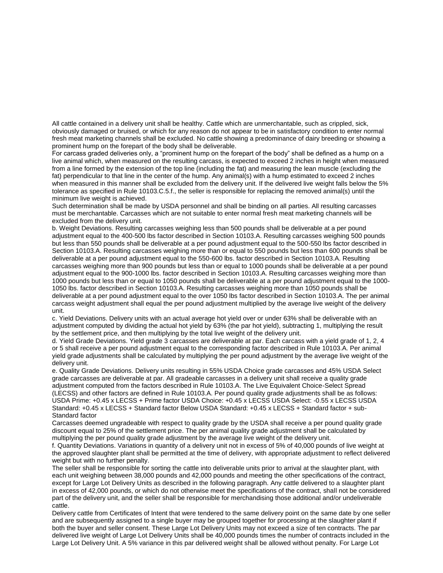All cattle contained in a delivery unit shall be healthy. Cattle which are unmerchantable, such as crippled, sick, obviously damaged or bruised, or which for any reason do not appear to be in satisfactory condition to enter normal fresh meat marketing channels shall be excluded. No cattle showing a predominance of dairy breeding or showing a prominent hump on the forepart of the body shall be deliverable.

For carcass graded deliveries only, a "prominent hump on the forepart of the body" shall be defined as a hump on a live animal which, when measured on the resulting carcass, is expected to exceed 2 inches in height when measured from a line formed by the extension of the top line (including the fat) and measuring the lean muscle (excluding the fat) perpendicular to that line in the center of the hump. Any animal(s) with a hump estimated to exceed 2 inches when measured in this manner shall be excluded from the delivery unit. If the delivered live weight falls below the 5% tolerance as specified in Rule 10103.C.5.f., the seller is responsible for replacing the removed animal(s) until the minimum live weight is achieved.

Such determination shall be made by USDA personnel and shall be binding on all parties. All resulting carcasses must be merchantable. Carcasses which are not suitable to enter normal fresh meat marketing channels will be excluded from the delivery unit.

b. Weight Deviations. Resulting carcasses weighing less than 500 pounds shall be deliverable at a per pound adjustment equal to the 400-500 lbs factor described in Section 10103.A. Resulting carcasses weighing 500 pounds but less than 550 pounds shall be deliverable at a per pound adjustment equal to the 500-550 lbs factor described in Section 10103.A. Resulting carcasses weighing more than or equal to 550 pounds but less than 600 pounds shall be deliverable at a per pound adjustment equal to the 550-600 lbs. factor described in Section 10103.A. Resulting carcasses weighing more than 900 pounds but less than or equal to 1000 pounds shall be deliverable at a per pound adjustment equal to the 900-1000 lbs. factor described in Section 10103.A. Resulting carcasses weighing more than 1000 pounds but less than or equal to 1050 pounds shall be deliverable at a per pound adjustment equal to the 1000- 1050 lbs. factor described in Section 10103.A. Resulting carcasses weighing more than 1050 pounds shall be deliverable at a per pound adjustment equal to the over 1050 lbs factor described in Section 10103.A. The per animal carcass weight adjustment shall equal the per pound adjustment multiplied by the average live weight of the delivery unit.

c. Yield Deviations. Delivery units with an actual average hot yield over or under 63% shall be deliverable with an adjustment computed by dividing the actual hot yield by 63% (the par hot yield), subtracting 1, multiplying the result by the settlement price, and then multiplying by the total live weight of the delivery unit.

d. Yield Grade Deviations. Yield grade 3 carcasses are deliverable at par. Each carcass with a yield grade of 1, 2, 4 or 5 shall receive a per pound adjustment equal to the corresponding factor described in Rule 10103.A. Per animal yield grade adjustments shall be calculated by multiplying the per pound adjustment by the average live weight of the delivery unit.

e. Quality Grade Deviations. Delivery units resulting in 55% USDA Choice grade carcasses and 45% USDA Select grade carcasses are deliverable at par. All gradeable carcasses in a delivery unit shall receive a quality grade adjustment computed from the factors described in Rule 10103.A. The Live Equivalent Choice-Select Spread (LECSS) and other factors are defined in Rule 10103.A. Per pound quality grade adjustments shall be as follows: USDA Prime: +0.45 x LECSS + Prime factor USDA Choice: +0.45 x LECSS USDA Select: -0.55 x LECSS USDA Standard: +0.45 x LECSS + Standard factor Below USDA Standard: +0.45 x LECSS + Standard factor + sub-Standard factor

Carcasses deemed ungradeable with respect to quality grade by the USDA shall receive a per pound quality grade discount equal to 25% of the settlement price. The per animal quality grade adjustment shall be calculated by multiplying the per pound quality grade adjustment by the average live weight of the delivery unit.

f. Quantity Deviations. Variations in quantity of a delivery unit not in excess of 5% of 40,000 pounds of live weight at the approved slaughter plant shall be permitted at the time of delivery, with appropriate adjustment to reflect delivered weight but with no further penalty.

The seller shall be responsible for sorting the cattle into deliverable units prior to arrival at the slaughter plant, with each unit weighing between 38,000 pounds and 42,000 pounds and meeting the other specifications of the contract, except for Large Lot Delivery Units as described in the following paragraph. Any cattle delivered to a slaughter plant in excess of 42,000 pounds, or which do not otherwise meet the specifications of the contract, shall not be considered part of the delivery unit, and the seller shall be responsible for merchandising those additional and/or undeliverable cattle.

Delivery cattle from Certificates of Intent that were tendered to the same delivery point on the same date by one seller and are subsequently assigned to a single buyer may be grouped together for processing at the slaughter plant if both the buyer and seller consent. These Large Lot Delivery Units may not exceed a size of ten contracts. The par delivered live weight of Large Lot Delivery Units shall be 40,000 pounds times the number of contracts included in the Large Lot Delivery Unit. A 5% variance in this par delivered weight shall be allowed without penalty. For Large Lot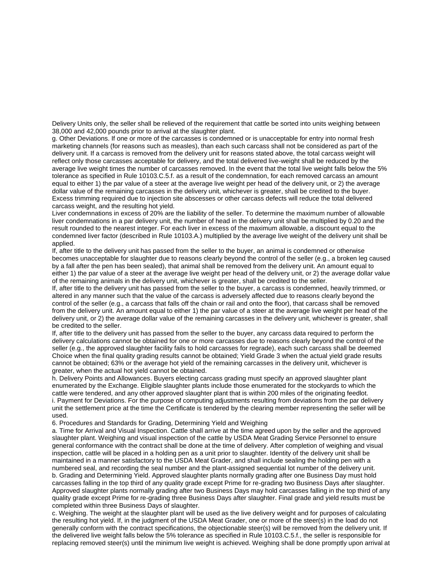Delivery Units only, the seller shall be relieved of the requirement that cattle be sorted into units weighing between 38,000 and 42,000 pounds prior to arrival at the slaughter plant.

g. Other Deviations. If one or more of the carcasses is condemned or is unacceptable for entry into normal fresh marketing channels (for reasons such as measles), than each such carcass shall not be considered as part of the delivery unit. If a carcass is removed from the delivery unit for reasons stated above, the total carcass weight will reflect only those carcasses acceptable for delivery, and the total delivered live-weight shall be reduced by the average live weight times the number of carcasses removed. In the event that the total live weight falls below the 5% tolerance as specified in Rule 10103.C.5.f. as a result of the condemnation, for each removed carcass an amount equal to either 1) the par value of a steer at the average live weight per head of the delivery unit, or 2) the average dollar value of the remaining carcasses in the delivery unit, whichever is greater, shall be credited to the buyer. Excess trimming required due to injection site abscesses or other carcass defects will reduce the total delivered carcass weight, and the resulting hot yield.

Liver condemnations in excess of 20% are the liability of the seller. To determine the maximum number of allowable liver condemnations in a par delivery unit, the number of head in the delivery unit shall be multiplied by 0.20 and the result rounded to the nearest integer. For each liver in excess of the maximum allowable, a discount equal to the condemned liver factor (described in Rule 10103.A.) multiplied by the average live weight of the delivery unit shall be applied.

If, after title to the delivery unit has passed from the seller to the buyer, an animal is condemned or otherwise becomes unacceptable for slaughter due to reasons clearly beyond the control of the seller (e.g., a broken leg caused by a fall after the pen has been sealed), that animal shall be removed from the delivery unit. An amount equal to either 1) the par value of a steer at the average live weight per head of the delivery unit, or 2) the average dollar value of the remaining animals in the delivery unit, whichever is greater, shall be credited to the seller.

If, after title to the delivery unit has passed from the seller to the buyer, a carcass is condemned, heavily trimmed, or altered in any manner such that the value of the carcass is adversely affected due to reasons clearly beyond the control of the seller (e.g., a carcass that falls off the chain or rail and onto the floor), that carcass shall be removed from the delivery unit. An amount equal to either 1) the par value of a steer at the average live weight per head of the delivery unit, or 2) the average dollar value of the remaining carcasses in the delivery unit, whichever is greater, shall be credited to the seller.

If, after title to the delivery unit has passed from the seller to the buyer, any carcass data required to perform the delivery calculations cannot be obtained for one or more carcasses due to reasons clearly beyond the control of the seller (e.g., the approved slaughter facility fails to hold carcasses for regrade), each such carcass shall be deemed Choice when the final quality grading results cannot be obtained; Yield Grade 3 when the actual yield grade results cannot be obtained; 63% or the average hot yield of the remaining carcasses in the delivery unit, whichever is greater, when the actual hot yield cannot be obtained.

h. Delivery Points and Allowances. Buyers electing carcass grading must specify an approved slaughter plant enumerated by the Exchange. Eligible slaughter plants include those enumerated for the stockyards to which the cattle were tendered, and any other approved slaughter plant that is within 200 miles of the originating feedlot. i. Payment for Deviations. For the purpose of computing adjustments resulting from deviations from the par delivery unit the settlement price at the time the Certificate is tendered by the clearing member representing the seller will be used.

6. Procedures and Standards for Grading, Determining Yield and Weighing

a. Time for Arrival and Visual Inspection. Cattle shall arrive at the time agreed upon by the seller and the approved slaughter plant. Weighing and visual inspection of the cattle by USDA Meat Grading Service Personnel to ensure general conformance with the contract shall be done at the time of delivery. After completion of weighing and visual inspection, cattle will be placed in a holding pen as a unit prior to slaughter. Identity of the delivery unit shall be maintained in a manner satisfactory to the USDA Meat Grader, and shall include sealing the holding pen with a numbered seal, and recording the seal number and the plant-assigned sequential lot number of the delivery unit. b. Grading and Determining Yield. Approved slaughter plants normally grading after one Business Day must hold carcasses falling in the top third of any quality grade except Prime for re-grading two Business Days after slaughter. Approved slaughter plants normally grading after two Business Days may hold carcasses falling in the top third of any quality grade except Prime for re-grading three Business Days after slaughter. Final grade and yield results must be completed within three Business Days of slaughter.

c. Weighing. The weight at the slaughter plant will be used as the live delivery weight and for purposes of calculating the resulting hot yield. If, in the judgment of the USDA Meat Grader, one or more of the steer(s) in the load do not generally conform with the contract specifications, the objectionable steer(s) will be removed from the delivery unit. If the delivered live weight falls below the 5% tolerance as specified in Rule 10103.C.5.f., the seller is responsible for replacing removed steer(s) until the minimum live weight is achieved. Weighing shall be done promptly upon arrival at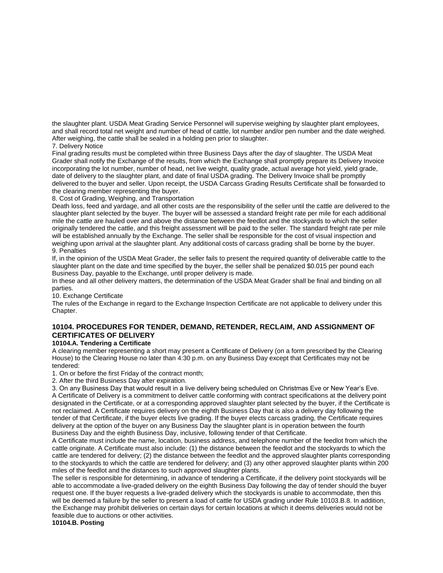the slaughter plant. USDA Meat Grading Service Personnel will supervise weighing by slaughter plant employees, and shall record total net weight and number of head of cattle, lot number and/or pen number and the date weighed. After weighing, the cattle shall be sealed in a holding pen prior to slaughter.

7. Delivery Notice

Final grading results must be completed within three Business Days after the day of slaughter. The USDA Meat Grader shall notify the Exchange of the results, from which the Exchange shall promptly prepare its Delivery Invoice incorporating the lot number, number of head, net live weight, quality grade, actual average hot yield, yield grade, date of delivery to the slaughter plant, and date of final USDA grading. The Delivery Invoice shall be promptly delivered to the buyer and seller. Upon receipt, the USDA Carcass Grading Results Certificate shall be forwarded to the clearing member representing the buyer.

8. Cost of Grading, Weighing, and Transportation

Death loss, feed and yardage, and all other costs are the responsibility of the seller until the cattle are delivered to the slaughter plant selected by the buyer. The buyer will be assessed a standard freight rate per mile for each additional mile the cattle are hauled over and above the distance between the feedlot and the stockyards to which the seller originally tendered the cattle, and this freight assessment will be paid to the seller. The standard freight rate per mile will be established annually by the Exchange. The seller shall be responsible for the cost of visual inspection and weighing upon arrival at the slaughter plant. Any additional costs of carcass grading shall be borne by the buyer. 9. Penalties

If, in the opinion of the USDA Meat Grader, the seller fails to present the required quantity of deliverable cattle to the slaughter plant on the date and time specified by the buyer, the seller shall be penalized \$0.015 per pound each Business Day, payable to the Exchange, until proper delivery is made.

In these and all other delivery matters, the determination of the USDA Meat Grader shall be final and binding on all parties.

10. Exchange Certificate

The rules of the Exchange in regard to the Exchange Inspection Certificate are not applicable to delivery under this Chapter.

## **10104. PROCEDURES FOR TENDER, DEMAND, RETENDER, RECLAIM, AND ASSIGNMENT OF CERTIFICATES OF DELIVERY**

## **10104.A. Tendering a Certificate**

A clearing member representing a short may present a Certificate of Delivery (on a form prescribed by the Clearing House) to the Clearing House no later than 4:30 p.m. on any Business Day except that Certificates may not be tendered:

1. On or before the first Friday of the contract month;

2. After the third Business Day after expiration.

3. On any Business Day that would result in a live delivery being scheduled on Christmas Eve or New Year's Eve. A Certificate of Delivery is a commitment to deliver cattle conforming with contract specifications at the delivery point designated in the Certificate, or at a corresponding approved slaughter plant selected by the buyer, if the Certificate is not reclaimed. A Certificate requires delivery on the eighth Business Day that is also a delivery day following the tender of that Certificate, if the buyer elects live grading. If the buyer elects carcass grading, the Certificate requires delivery at the option of the buyer on any Business Day the slaughter plant is in operation between the fourth Business Day and the eighth Business Day, inclusive, following tender of that Certificate.

A Certificate must include the name, location, business address, and telephone number of the feedlot from which the cattle originate. A Certificate must also include: (1) the distance between the feedlot and the stockyards to which the cattle are tendered for delivery; (2) the distance between the feedlot and the approved slaughter plants corresponding to the stockyards to which the cattle are tendered for delivery; and (3) any other approved slaughter plants within 200 miles of the feedlot and the distances to such approved slaughter plants.

The seller is responsible for determining, in advance of tendering a Certificate, if the delivery point stockyards will be able to accommodate a live-graded delivery on the eighth Business Day following the day of tender should the buyer request one. If the buyer requests a live-graded delivery which the stockyards is unable to accommodate, then this will be deemed a failure by the seller to present a load of cattle for USDA grading under Rule 10103.B.8. In addition, the Exchange may prohibit deliveries on certain days for certain locations at which it deems deliveries would not be feasible due to auctions or other activities.

**10104.B. Posting**